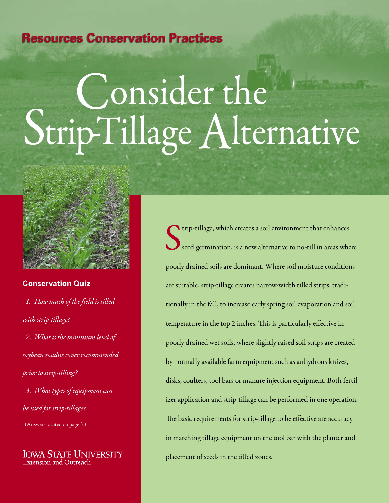# **Resources Conservation Practices**

# Consider the StripTillage Alternative



# **Conservation Quiz**

*1. How much of the field is tilled with strip-tillage?*

*2. What is the minimum level of soybean residue cover recommended prior to strip-tilling? 3. What types of equipment can*

*be used for strip-tillage?* [\(Answers located on page 3.\)](#page-2-0)

**IOWA STATE UNIVERSITY Extension and Outreach** 

S trip-tillage, which creates a soil environment that enhances seed germination, is a new alternative to no-till in areas where poorly drained soils are dominant. Where soil moisture conditions are suitable, strip-tillage creates narrow-width tilled strips, traditionally in the fall, to increase early spring soil evaporation and soil temperature in the top 2 inches. This is particularly effective in poorly drained wet soils, where slightly raised soil strips are created by normally available farm equipment such as anhydrous knives, disks, coulters, tool bars or manure injection equipment. Both fertilizer application and strip-tillage can be performed in one operation. The basic requirements for strip-tillage to be effective are accuracy in matching tillage equipment on the tool bar with the planter and placement of seeds in the tilled zones.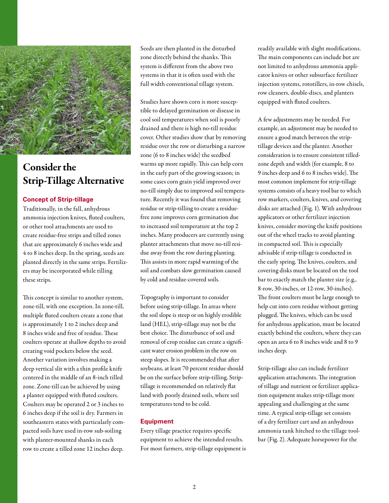

# Consider the Strip-Tillage Alternative

## **Concept of Strip-tillage**

Traditionally, in the fall, anhydrous ammonia injection knives, fluted coulters, or other tool attachments are used to create residue-free strips and tilled zones that are approximately 6 inches wide and 4 to 8 inches deep. In the spring, seeds are planted directly in the same strips. Fertilizers may be incorporated while tilling these strips.

This concept is similar to another system, zone-till, with one exception. In zone-till, multiple fluted coulters create a zone that is approximately 1 to 2 inches deep and 8 inches wide and free of residue. These coulters operate at shallow depths to avoid creating void pockets below the seed. Another variation involves making a deep vertical slit with a thin profile knife centered in the middle of an 8-inch tilled zone. Zone-till can be achieved by using a planter equipped with fluted coulters. Coulters may be operated 2 or 3 inches to 6 inches deep if the soil is dry. Farmers in southeastern states with particularly compacted soils have used in-row sub-soiling with planter-mounted shanks in each row to create a tilled zone 12 inches deep.

Seeds are then planted in the disturbed zone directly behind the shanks. This system is different from the above two systems in that it is often used with the full width conventional tillage system.

Studies have shown corn is more susceptible to delayed germination or disease in cool soil temperatures when soil is poorly drained and there is high no-till residue cover. Other studies show that by removing residue over the row or disturbing a narrow zone (6 to 8 inches wide) the seedbed warms up more rapidly. This can help corn in the early part of the growing season; in some cases corn grain yield improved over no-till simply due to improved soil temperature. Recently it was found that removing residue or strip-tilling to create a residuefree zone improves corn germination due to increased soil temperature at the top 2 inches. Many producers are currently using planter attachments that move no-till residue away from the row during planting. This assists in more rapid warming of the soil and combats slow germination caused by cold and residue-covered soils.

Topography is important to consider before using strip-tillage. In areas where the soil slope is steep or on highly erodible land (HEL), strip-tillage may not be the best choice. The disturbance of soil and removal of crop residue can create a significant water erosion problem in the row on steep slopes. It is recommended that after soybeans, at least 70 percent residue should be on the surface before strip-tilling. Striptillage is recommended on relatively flat land with poorly drained soils, where soil temperatures tend to be cold.

#### **Equipment**

Every tillage practice requires specific equipment to achieve the intended results. For most farmers, strip-tillage equipment is readily available with slight modifications. The main components can include but are not limited to anhydrous ammonia applicator knives or other subsurface fertilizer injection systems, rototillers, in-row chisels, row cleaners, double-discs, and planters equipped with fluted coulters.

A few adjustments may be needed. For example, an adjustment may be needed to ensure a good match between the striptillage devices and the planter. Another consideration is to ensure consistent tilledzone depth and width (for example, 8 to 9 inches deep and 6 to 8 inches wide). The most common implement for strip-tillage systems consists of a heavy tool bar to which row markers, coulters, knives, and covering disks are attached (Fig. 1). With anhydrous applicators or other fertilizer injection knives, consider moving the knife positions out of the wheel tracks to avoid planting in compacted soil. This is especially advisable if strip-tillage is conducted in the early spring. The knives, coulters, and covering disks must be located on the tool bar to exactly match the planter size (e.g., 8-row, 30-inches, or 12-row, 30-inches). The front coulters must be large enough to help cut into corn residue without getting plugged. The knives, which can be used for anhydrous application, must be located exactly behind the coulters, where they can open an area 6 to 8 inches wide and 8 to 9 inches deep.

Strip-tillage also can include fertilizer application attachments. The integration of tillage and nutrient or fertilizer application equipment makes strip-tillage more appealing and challenging at the same time. A typical strip-tillage set consists of a dry fertilizer cart and an anhydrous ammonia tank hitched to the tillage toolbar (Fig. 2). Adequate horsepower for the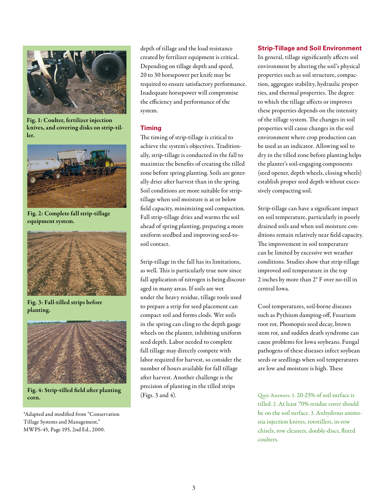

Fig. 1: Coulter, fertilizer injection knives, and covering disks on strip-tiller.



Fig. 2: Complete fall strip-tillage equipment system.



Fig. 3: Fall-tilled strips before planting.



Fig. 4: Strip-tilled field after planting corn.

\*Adapted and modified from "Conservation Tillage Systems and Management," MWPS-45, Page 195, 2nd Ed., 2000.

depth of tillage and the load resistance created by fertilizer equipment is critical. Depending on tillage depth and speed, 20 to 30 horsepower per knife may be required to ensure satisfactory performance. Inadequate horsepower will compromise the efficiency and performance of the system.

## **Timing**

The timing of strip-tillage is critical to achieve the system's objectives. Traditionally, strip-tillage is conducted in the fall to maximize the benefits of creating the tilled zone before spring planting. Soils are generally drier after harvest than in the spring. Soil conditions are more suitable for striptillage when soil moisture is at or below field capacity, minimizing soil compaction. Fall strip-tillage dries and warms the soil ahead of spring planting, preparing a more uniform seedbed and improving seed-tosoil contact.

Strip-tillage in the fall has its limitations, as well. This is particularly true now since fall application of nitrogen is being discouraged in many areas. If soils are wet under the heavy residue, tillage tools used to prepare a strip for seed placement can compact soil and forms clods. Wet soils in the spring can cling to the depth gauge wheels on the planter, inhibiting uniform seed depth. Labor needed to complete fall tillage may directly compete with labor required for harvest, so consider the number of hours available for fall tillage after harvest. Another challenge is the precision of planting in the tilled strips (Figs. 3 and 4).

#### **Strip-Tillage and Soil Environment**

In general, tillage significantly affects soil environment by altering the soil's physical properties such as soil structure, compaction, aggregate stability, hydraulic properties, and thermal properties. The degree to which the tillage affects or improves these properties depends on the intensity of the tillage system. The changes in soil properties will cause changes in the soil environment where crop production can be used as an indicator. Allowing soil to dry in the tilled zone before planting helps the planter's soil-engaging components (seed opener, depth wheels, closing wheels) establish proper seed depth without excessively compacting soil.

Strip-tillage can have a significant impact on soil temperature, particularly in poorly drained soils and when soil moisture conditions remain relatively near field capacity. The improvement in soil temperature can be limited by excessive wet weather conditions. Studies show that strip-tillage improved soil temperature in the top 2 inches by more than 2° F over no-till in central Iowa.

Cool temperatures, soil-borne diseases such as Pythium damping-off, Fusarium root rot, Phomopsis seed decay, brown stem rot, and sudden death syndrome can cause problems for Iowa soybeans. Fungal pathogens of these diseases infect soybean seeds or seedlings when soil temperatures are low and moisture is high. These

<span id="page-2-0"></span>Quiz Answers: 1. 20-25% of soil surface is tilled. 2. At least 70% residue cover should be on the soil surface. 3. Anhydrous ammonia injection knives, rototillers, in-row chisels, row cleaners, double-discs, fluted coulters.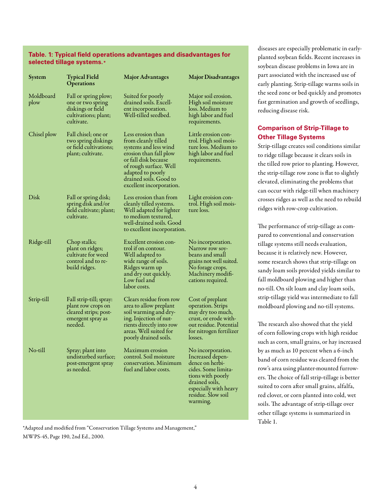#### **Table. 1: Typical field operations advantages and disadvantages for selected tillage systems.\***

| <b>System</b>     | <b>Typical Field</b><br><b>Operations</b>                                                              | <b>Major Advantages</b>                                                                                                                                                                                                  | <b>Major Disadvantages</b>                                                                                                                                                        |
|-------------------|--------------------------------------------------------------------------------------------------------|--------------------------------------------------------------------------------------------------------------------------------------------------------------------------------------------------------------------------|-----------------------------------------------------------------------------------------------------------------------------------------------------------------------------------|
| Moldboard<br>plow | Fall or spring plow;<br>one or two spring<br>diskings or field<br>cultivations; plant;<br>cultivate.   | Suited for poorly<br>drained soils. Excell-<br>ent incorporation.<br>Well-tilled seedbed.                                                                                                                                | Major soil erosion.<br>High soil moisture<br>loss. Medium to<br>high labor and fuel<br>requirements.                                                                              |
| Chisel plow       | Fall chisel; one or<br>two spring diskings<br>or field cultivations;<br>plant; cultivate.              | Less erosion than<br>from cleanly tilled<br>systems and less wind<br>erosion than fall plow<br>or fall disk because<br>of rough surface. Well<br>adapted to poorly<br>drained soils. Good to<br>excellent incorporation. | Little erosion con-<br>trol. High soil mois-<br>ture loss. Medium to<br>high labor and fuel<br>requirements.                                                                      |
| Disk              | Fall or spring disk;<br>spring disk and/or<br>field cultivate; plant;<br>cultivate.                    | Less erosion than from<br>cleanly tilled systems.<br>Well adapted for lighter<br>to medium textured,<br>well-drained soils. Good<br>to excellent incorporation.                                                          | Light eroision con-<br>trol. High soil mois-<br>ture loss.                                                                                                                        |
| Ridge-till        | Chop stalks;<br>plant on ridges;<br>cultivate for weed<br>control and to re-<br>build ridges.          | Excellent erosion con-<br>trol if on contour.<br>Well adapted to<br>wide range of soils.<br>Ridges warm up<br>and dry out quickly.<br>Low fuel and<br>labor costs.                                                       | No incorporation.<br>Narrow row soy-<br>beans and small<br>grains not well suited.<br>No forage crops.<br>Machinery modifi-<br>cations required.                                  |
| Strip-till        | Fall strip-till; spray:<br>plant row crops on<br>cleared strips; post-<br>emergent spray as<br>needed. | Clears residue from row<br>area to allow preplant<br>soil warming and dry-<br>ing. Injection of nut-<br>rients directly into row<br>areas. Well suited for<br>poorly drained soils.                                      | Cost of preplant<br>operation. Strips<br>may dry too much,<br>crust, or erode with-<br>out residue. Potential<br>for nitrogen fertilizer<br>losses.                               |
| No-till           | Spray; plant into<br>undisturbed surface:<br>post-emergent spray<br>as needed.                         | Maximum erosion<br>control. Soil moisture<br>conservation. Minimum<br>fuel and labor costs.                                                                                                                              | No incorporation.<br>Increased depen-<br>dence on herbi-<br>cides. Some limita-<br>tions with poorly<br>drained soils,<br>especially with heavy<br>residue. Slow soil<br>warming. |
|                   |                                                                                                        |                                                                                                                                                                                                                          |                                                                                                                                                                                   |

\*Adapted and modified from "Conservation Tillage Systems and Management," MWPS-45, Page 190, 2nd Ed., 2000.

diseases are especially problematic in earlyplanted soybean fields. Recent increases in soybean disease problems in Iowa are in part associated with the increased use of early planting. Strip-tillage warms soils in the seed zone or bed quickly and promotes fast germination and growth of seedlings, reducing disease risk.

# **Comparison of Strip-Tillage to Other Tillage Systems**

Strip-tillage creates soil conditions similar to ridge tillage because it clears soils in the tilled row prior to planting. However, the strip-tillage row zone is flat to slightly elevated, eliminating the problems that can occur with ridge-till when machinery crosses ridges as well as the need to rebuild ridges with row-crop cultivation.

The performance of strip-tillage as compared to conventional and conservation tillage systems still needs evaluation, because it is relatively new. However, some research shows that strip-tillage on sandy loam soils provided yields similar to fall moldboard plowing and higher than no-till. On silt loam and clay loam soils, strip-tillage yield was intermediate to fall moldboard plowing and no-till systems.

The research also showed that the yield of corn following crops with high residue such as corn, small grains, or hay increased by as much as 10 percent when a 6-inch band of corn residue was cleared from the row's area using planter-mounted furrowers. The choice of fall strip-tillage is better suited to corn after small grains, alfalfa, red clover, or corn planted into cold, wet soils. The advantage of strip-tillage over other tillage systems is summarized in Table 1.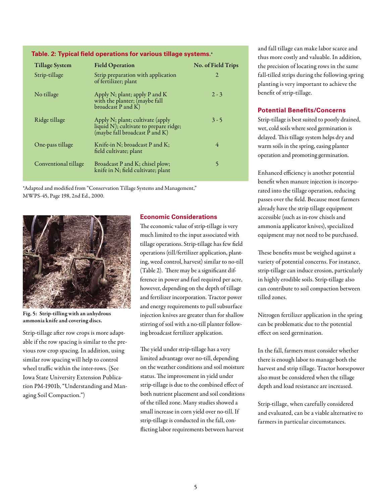#### **Table. 2: Typical field operations for various tillage systems.**\*

| <b>Tillage System</b> | <b>Field Operation</b>                                                                                                    | No. of Field Trips |
|-----------------------|---------------------------------------------------------------------------------------------------------------------------|--------------------|
| Strip-tillage         | Strip preparation with application<br>of fertilizer; plant                                                                | $\overline{c}$     |
| No tillage            | Apply N; plant; apply P and K<br>with the planter; (maybe fall<br>broadcast $P$ and $K$ )                                 | $2 - 3$            |
| Ridge tillage         | Apply N; plant; cultivate (apply<br>liquid N); cultivate to prepare ridge;<br>(maybe fall broadcast $\overline{P}$ and K) | $3 - 5$            |
| One-pass tillage      | Knife-in N; broadcast P and K;<br>field cultivate; plant                                                                  | 4                  |
| Conventional tillage  | Broadcast P and K; chisel plow;<br>knife in N; field cultivate; plant                                                     | 5                  |

\*Adapted and modified from "Conservation Tillage Systems and Management," MWPS-45, Page 198, 2nd Ed., 2000.



Fig. 5: Strip-tilling with an anhydrous ammonia knife and covering discs.

Strip-tillage after row crops is more adaptable if the row spacing is similar to the previous row crop spacing. In addition, using similar row spacing will help to control wheel traffic within the inter-rows. (See Iowa State University Extension Publication PM-1901b, "Understanding and Managing Soil Compaction.")

## **Economic Considerations**

The economic value of strip-tillage is very much limited to the input associated with tillage operations. Strip-tillage has few field operations (till/fertilizer application, planting, weed control, harvest) similar to no-till (Table 2). There may be a significant difference in power and fuel required per acre, however, depending on the depth of tillage and fertilizer incorporation. Tractor power and energy requirements to pull subsurface injection knives are greater than for shallow stirring of soil with a no-till planter following broadcast fertilizer application.

The yield under strip-tillage has a very limited advantage over no-till, depending on the weather conditions and soil moisture status. The improvement in yield under strip-tillage is due to the combined effect of both nutrient placement and soil conditions of the tilled zone. Many studies showed a small increase in corn yield over no-till. If strip-tillage is conducted in the fall, conflicting labor requirements between harvest

and fall tillage can make labor scarce and thus more costly and valuable. In addition, the precision of locating rows in the same fall-tilled strips during the following spring planting is very important to achieve the benefit of strip-tillage.

## **Potential Benefits/Concerns**

Strip-tillage is best suited to poorly drained, wet, cold soils where seed germination is delayed. This tillage system helps dry and warm soils in the spring, easing planter operation and promoting germination.

Enhanced efficiency is another potential benefit when manure injection is incorporated into the tillage operation, reducing passes over the field. Because most farmers already have the strip tillage equipment accessible (such as in-row chisels and ammonia applicator knives), specialized equipment may not need to be purchased.

These benefits must be weighed against a variety of potential concerns. For instance, strip-tillage can induce erosion, particularly in highly erodible soils. Strip-tillage also can contribute to soil compaction between tilled zones.

Nitrogen fertilizer application in the spring can be problematic due to the potential effect on seed germination.

In the fall, farmers must consider whether there is enough labor to manage both the harvest and strip tillage. Tractor horsepower also must be considered when the tillage depth and load resistance are increased.

Strip-tillage, when carefully considered and evaluated, can be a viable alternative to farmers in particular circumstances.